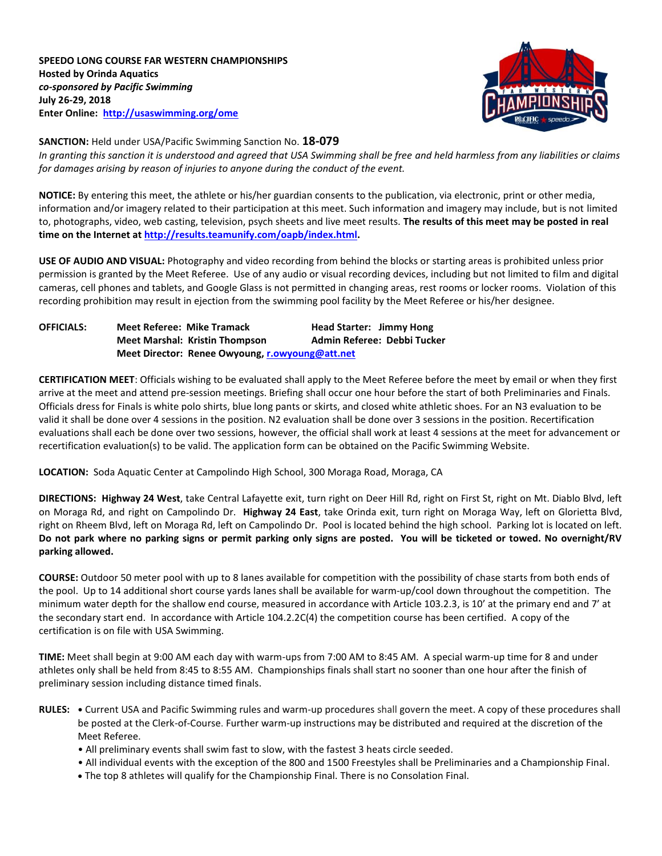

## **SANCTION:** Held under USA/Pacific Swimming Sanction No. **18-079**

*In granting this sanction it is understood and agreed that USA Swimming shall be free and held harmless from any liabilities or claims for damages arising by reason of injuries to anyone during the conduct of the event.*

**NOTICE:** By entering this meet, the athlete or his/her guardian consents to the publication, via electronic, print or other media, information and/or imagery related to their participation at this meet. Such information and imagery may include, but is not limited to, photographs, video, web casting, television, psych sheets and live meet results. **The results of this meet may be posted in real time on the Internet at [http://results.teamunify.com/oapb/index.html.](http://results.teamunify.com/oapb/index.html)**

**USE OF AUDIO AND VISUAL:** Photography and video recording from behind the blocks or starting areas is prohibited unless prior permission is granted by the Meet Referee. Use of any audio or visual recording devices, including but not limited to film and digital cameras, cell phones and tablets, and Google Glass is not permitted in changing areas, rest rooms or locker rooms. Violation of this recording prohibition may result in ejection from the swimming pool facility by the Meet Referee or his/her designee.

| <b>OFFICIALS:</b> | <b>Meet Referee: Mike Tramack</b>               | <b>Head Starter: Jimmy Hong</b> |  |  |  |  |
|-------------------|-------------------------------------------------|---------------------------------|--|--|--|--|
|                   | <b>Meet Marshal: Kristin Thompson</b>           | Admin Referee: Debbi Tucker     |  |  |  |  |
|                   | Meet Director: Renee Owyoung, r.owyoung@att.net |                                 |  |  |  |  |

**CERTIFICATION MEET**: Officials wishing to be evaluated shall apply to the Meet Referee before the meet by email or when they first arrive at the meet and attend pre-session meetings. Briefing shall occur one hour before the start of both Preliminaries and Finals. Officials dress for Finals is white polo shirts, blue long pants or skirts, and closed white athletic shoes. For an N3 evaluation to be valid it shall be done over 4 sessions in the position. N2 evaluation shall be done over 3 sessions in the position. Recertification evaluations shall each be done over two sessions, however, the official shall work at least 4 sessions at the meet for advancement or recertification evaluation(s) to be valid. The application form can be obtained on the Pacific Swimming Website.

**LOCATION:** Soda Aquatic Center at Campolindo High School, 300 Moraga Road, Moraga, CA

**DIRECTIONS: Highway 24 West**, take Central Lafayette exit, turn right on Deer Hill Rd, right on First St, right on Mt. Diablo Blvd, left on Moraga Rd, and right on Campolindo Dr. **Highway 24 East**, take Orinda exit, turn right on Moraga Way, left on Glorietta Blvd, right on Rheem Blvd, left on Moraga Rd, left on Campolindo Dr. Pool is located behind the high school. Parking lot is located on left. **Do not park where no parking signs or permit parking only signs are posted. You will be ticketed or towed. No overnight/RV parking allowed.**

**COURSE:** Outdoor 50 meter pool with up to 8 lanes available for competition with the possibility of chase starts from both ends of the pool.Up to 14 additional short course yards lanes shall be available for warm-up/cool down throughout the competition. The minimum water depth for the shallow end course, measured in accordance with Article 103.2.3, is 10' at the primary end and 7' at the secondary start end. In accordance with Article 104.2.2C(4) the competition course has been certified. A copy of the certification is on file with USA Swimming.

**TIME:** Meet shall begin at 9:00 AM each day with warm-ups from 7:00 AM to 8:45 AM. A special warm-up time for 8 and under athletes only shall be held from 8:45 to 8:55 AM. Championships finals shall start no sooner than one hour after the finish of preliminary session including distance timed finals.

- **RULES: •** Current USA and Pacific Swimming rules and warm-up procedures shall govern the meet. A copy of these procedures shall be posted at the Clerk-of-Course. Further warm-up instructions may be distributed and required at the discretion of the Meet Referee.
	- All preliminary events shall swim fast to slow, with the fastest 3 heats circle seeded.
	- All individual events with the exception of the 800 and 1500 Freestyles shall be Preliminaries and a Championship Final.
	- The top 8 athletes will qualify for the Championship Final. There is no Consolation Final.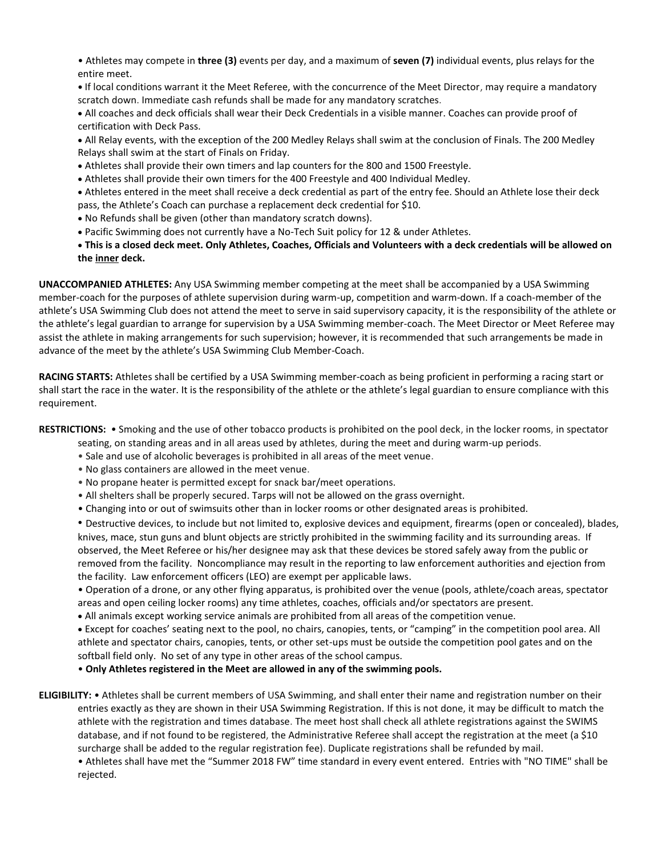- Athletes may compete in **three (3)** events per day, and a maximum of **seven (7)** individual events, plus relays for the entire meet.
- If local conditions warrant it the Meet Referee, with the concurrence of the Meet Director, may require a mandatory scratch down. Immediate cash refunds shall be made for any mandatory scratches.
- All coaches and deck officials shall wear their Deck Credentials in a visible manner. Coaches can provide proof of certification with Deck Pass.
- All Relay events, with the exception of the 200 Medley Relays shall swim at the conclusion of Finals. The 200 Medley Relays shall swim at the start of Finals on Friday.
- Athletes shall provide their own timers and lap counters for the 800 and 1500 Freestyle.
- Athletes shall provide their own timers for the 400 Freestyle and 400 Individual Medley.

 Athletes entered in the meet shall receive a deck credential as part of the entry fee. Should an Athlete lose their deck pass, the Athlete's Coach can purchase a replacement deck credential for \$10.

- No Refunds shall be given (other than mandatory scratch downs).
- Pacific Swimming does not currently have a No-Tech Suit policy for 12 & under Athletes.

 **This is a closed deck meet. Only Athletes, Coaches, Officials and Volunteers with a deck credentials will be allowed on the inner deck.**

**UNACCOMPANIED ATHLETES:** Any USA Swimming member competing at the meet shall be accompanied by a USA Swimming member-coach for the purposes of athlete supervision during warm-up, competition and warm-down. If a coach-member of the athlete's USA Swimming Club does not attend the meet to serve in said supervisory capacity, it is the responsibility of the athlete or the athlete's legal guardian to arrange for supervision by a USA Swimming member-coach. The Meet Director or Meet Referee may assist the athlete in making arrangements for such supervision; however, it is recommended that such arrangements be made in advance of the meet by the athlete's USA Swimming Club Member-Coach.

**RACING STARTS:** Athletes shall be certified by a USA Swimming member-coach as being proficient in performing a racing start or shall start the race in the water. It is the responsibility of the athlete or the athlete's legal guardian to ensure compliance with this requirement.

**RESTRICTIONS:** • Smoking and the use of other tobacco products is prohibited on the pool deck, in the locker rooms, in spectator

- seating, on standing areas and in all areas used by athletes, during the meet and during warm-up periods.
- Sale and use of alcoholic beverages is prohibited in all areas of the meet venue.
- No glass containers are allowed in the meet venue.
- No propane heater is permitted except for snack bar/meet operations.
- All shelters shall be properly secured. Tarps will not be allowed on the grass overnight.
- Changing into or out of swimsuits other than in locker rooms or other designated areas is prohibited.

• Destructive devices, to include but not limited to, explosive devices and equipment, firearms (open or concealed), blades, knives, mace, stun guns and blunt objects are strictly prohibited in the swimming facility and its surrounding areas. If observed, the Meet Referee or his/her designee may ask that these devices be stored safely away from the public or removed from the facility. Noncompliance may result in the reporting to law enforcement authorities and ejection from the facility. Law enforcement officers (LEO) are exempt per applicable laws.

• Operation of a drone, or any other flying apparatus, is prohibited over the venue (pools, athlete/coach areas, spectator areas and open ceiling locker rooms) any time athletes, coaches, officials and/or spectators are present.

All animals except working service animals are prohibited from all areas of the competition venue.

 Except for coaches' seating next to the pool, no chairs, canopies, tents, or "camping" in the competition pool area. All athlete and spectator chairs, canopies, tents, or other set-ups must be outside the competition pool gates and on the softball field only. No set of any type in other areas of the school campus.

• **Only Athletes registered in the Meet are allowed in any of the swimming pools.**

**ELIGIBILITY:** • Athletes shall be current members of USA Swimming, and shall enter their name and registration number on their entries exactly as they are shown in their USA Swimming Registration. If this is not done, it may be difficult to match the athlete with the registration and times database. The meet host shall check all athlete registrations against the SWIMS database, and if not found to be registered, the Administrative Referee shall accept the registration at the meet (a \$10 surcharge shall be added to the regular registration fee). Duplicate registrations shall be refunded by mail.

• Athletes shall have met the "Summer 2018 FW" time standard in every event entered. Entries with "NO TIME" shall be rejected.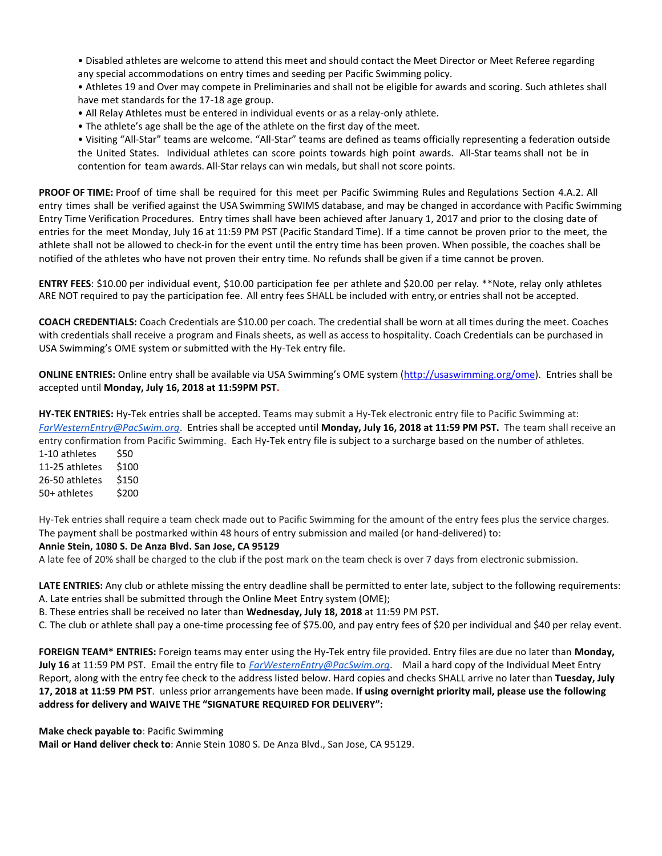• Disabled athletes are welcome to attend this meet and should contact the Meet Director or Meet Referee regarding any special accommodations on entry times and seeding per Pacific Swimming policy.

• Athletes 19 and Over may compete in Preliminaries and shall not be eligible for awards and scoring. Such athletes shall have met standards for the 17-18 age group.

- All Relay Athletes must be entered in individual events or as a relay-only athlete.
- The athlete's age shall be the age of the athlete on the first day of the meet.

• Visiting "All-Star" teams are welcome. "All-Star" teams are defined as teams officially representing a federation outside the United States. Individual athletes can score points towards high point awards. All-Star teams shall not be in contention for team awards. All-Star relays can win medals, but shall not score points.

**PROOF OF TIME:** Proof of time shall be required for this meet per Pacific Swimming Rules and Regulations Section 4.A.2. All entry times shall be verified against the USA Swimming SWIMS database, and may be changed in accordance with Pacific Swimming Entry Time Verification Procedures. Entry times shall have been achieved after January 1, 2017 and prior to the closing date of entries for the meet Monday, July 16 at 11:59 PM PST (Pacific Standard Time). If a time cannot be proven prior to the meet, the athlete shall not be allowed to check-in for the event until the entry time has been proven. When possible, the coaches shall be notified of the athletes who have not proven their entry time. No refunds shall be given if a time cannot be proven.

**ENTRY FEES**: \$10.00 per individual event, \$10.00 participation fee per athlete and \$20.00 per relay. \*\*Note, relay only athletes ARE NOT required to pay the participation fee. All entry fees SHALL be included with entry,or entries shall not be accepted.

**COACH CREDENTIALS:** Coach Credentials are \$10.00 per coach. The credential shall be worn at all times during the meet. Coaches with credentials shall receive a program and Finals sheets, as well as access to hospitality. Coach Credentials can be purchased in USA Swimming's OME system or submitted with the Hy-Tek entry file.

**ONLINE ENTRIES:** Online entry shall be available via USA Swimming's OME system ([http://usaswimming.org/ome\)](http://usaswimming.org/ome). Entries shall be accepted until **Monday, July 16, 2018 at 11:59PM PST.** 

**HY-TEK ENTRIES:** Hy-Tek entries shall be accepted. Teams may submit a Hy-Tek electronic entry file to Pacific Swimming at: *[FarWesternEntry@PacSwim.org](mailto:FarWesternEntry@PacSwim.org)*. Entries shall be accepted until **Monday, July 16, 2018 at 11:59 PM PST.** The team shall receive an entry confirmation from Pacific Swimming. Each Hy-Tek entry file is subject to a surcharge based on the number of athletes.

1-10 athletes \$50 11-25 athletes \$100 26-50 athletes \$150 50+ athletes \$200

Hy-Tek entries shall require a team check made out to Pacific Swimming for the amount of the entry fees plus the service charges. The payment shall be postmarked within 48 hours of entry submission and mailed (or hand-delivered) to:

# **Annie Stein, 1080 S. De Anza Blvd. San Jose, CA 95129**

A late fee of 20% shall be charged to the club if the post mark on the team check is over 7 days from electronic submission.

**LATE ENTRIES:** Any club or athlete missing the entry deadline shall be permitted to enter late, subject to the following requirements: A. Late entries shall be submitted through the Online Meet Entry system (OME);

B. These entries shall be received no later than **Wednesday, July 18, 2018** at 11:59 PM PST**.**

C. The club or athlete shall pay a one-time processing fee of \$75.00, and pay entry fees of \$20 per individual and \$40 per relay event.

**FOREIGN TEAM\* ENTRIES:** Foreign teams may enter using the Hy-Tek entry file provided. Entry files are due no later than **Monday, July 16** at 11:59 PM PST. Email the entry file to *[FarWesternEntry@PacSwim.org](mailto:FarWesternEntry@PacSwim.org)*. Mail a hard copy of the Individual Meet Entry Report, along with the entry fee check to the address listed below. Hard copies and checks SHALL arrive no later than **Tuesday, July 17, 2018 at 11:59 PM PST**. unless prior arrangements have been made. **If using overnight priority mail, please use the following address for delivery and WAIVE THE "SIGNATURE REQUIRED FOR DELIVERY":**

**Make check payable to**: Pacific Swimming

**Mail or Hand deliver check to**: Annie Stein 1080 S. De Anza Blvd., San Jose, CA 95129.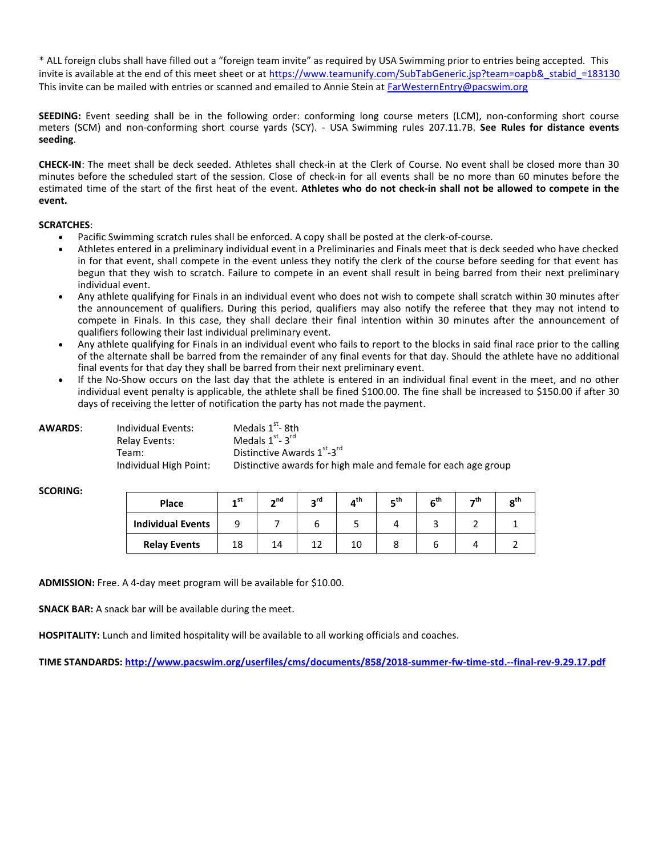\* ALL foreign clubs shall have filled out a "foreign team invite" as required by USA Swimming prior to entries being accepted. This invite is available at the end of this meet sheet or at [https://www.teamunify.com/SubTabGeneric.jsp?team=oapb&\\_stabid\\_=183130](https://www.teamunify.com/SubTabGeneric.jsp?team=oapb&_stabid_=183130) This invite can be mailed with entries or scanned and emailed to Annie Stein at [FarWesternEntry@pacswim.org](mailto:FarWesternEntry@pacswim.org) 

**SEEDING:** Event seeding shall be in the following order: conforming long course meters (LCM), non-conforming short course meters (SCM) and non-conforming short course yards (SCY). - USA Swimming rules 207.11.7B. **See Rules for distance events seeding**.

**CHECK-IN**: The meet shall be deck seeded. Athletes shall check-in at the Clerk of Course. No event shall be closed more than 30 minutes before the scheduled start of the session. Close of check-in for all events shall be no more than 60 minutes before the estimated time of the start of the first heat of the event. **Athletes who do not check-in shall not be allowed to compete in the event.**

#### **SCRATCHES**:

- Pacific Swimming scratch rules shall be enforced. A copy shall be posted at the clerk-of-course.
- Athletes entered in a preliminary individual event in a Preliminaries and Finals meet that is deck seeded who have checked in for that event, shall compete in the event unless they notify the clerk of the course before seeding for that event has begun that they wish to scratch. Failure to compete in an event shall result in being barred from their next preliminary individual event.
- Any athlete qualifying for Finals in an individual event who does not wish to compete shall scratch within 30 minutes after the announcement of qualifiers. During this period, qualifiers may also notify the referee that they may not intend to compete in Finals. In this case, they shall declare their final intention within 30 minutes after the announcement of qualifiers following their last individual preliminary event.
- Any athlete qualifying for Finals in an individual event who fails to report to the blocks in said final race prior to the calling of the alternate shall be barred from the remainder of any final events for that day. Should the athlete have no additional final events for that day they shall be barred from their next preliminary event.
- If the No-Show occurs on the last day that the athlete is entered in an individual final event in the meet, and no other individual event penalty is applicable, the athlete shall be fined \$100.00. The fine shall be increased to \$150.00 if after 30 days of receiving the letter of notification the party has not made the payment.

| AWARDS: | Individual Events:     | Medals $1st$ -8th                                              |
|---------|------------------------|----------------------------------------------------------------|
|         | Relav Events:          | Medals $1st - 3rd$                                             |
|         | Team:                  | Distinctive Awards 1 <sup>st</sup> -3 <sup>rd</sup>            |
|         | Individual High Point: | Distinctive awards for high male and female for each age group |

| Place                    | ـst ـ | $\mathbf{A}$ nd | ∽rd | -th | _th | th۔ | _th | იth |
|--------------------------|-------|-----------------|-----|-----|-----|-----|-----|-----|
| <b>Individual Events</b> |       |                 |     |     |     |     |     |     |
| <b>Relay Events</b>      | 18    | 14              |     | 10  |     |     |     |     |

**ADMISSION:** Free. A 4-day meet program will be available for \$10.00.

**SNACK BAR:** A snack bar will be available during the meet.

**HOSPITALITY:** Lunch and limited hospitality will be available to all working officials and coaches.

**TIME STANDARDS:<http://www.pacswim.org/userfiles/cms/documents/858/2018-summer-fw-time-std.--final-rev-9.29.17.pdf>**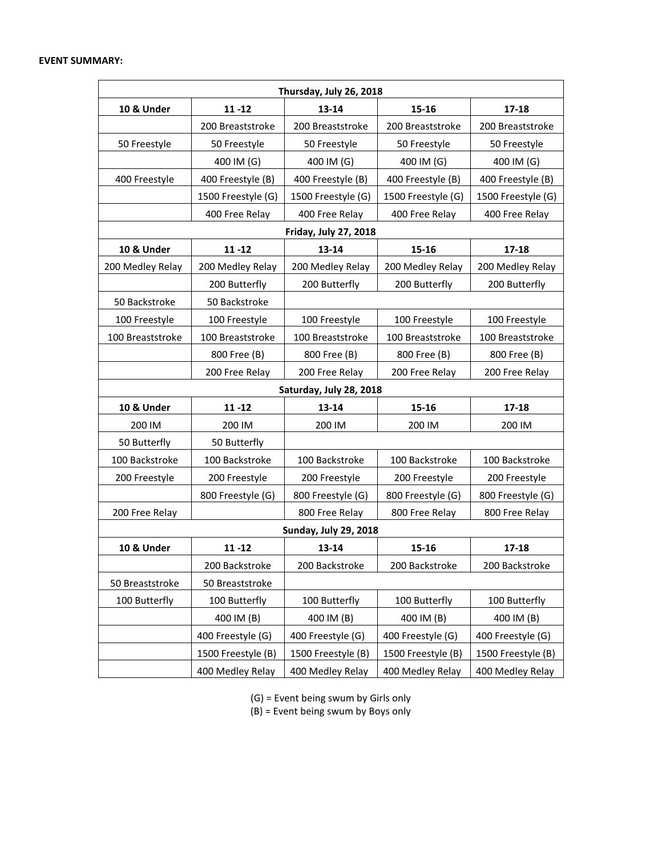## **EVENT SUMMARY:**

| Thursday, July 26, 2018 |                    |                              |                    |                    |  |  |  |  |
|-------------------------|--------------------|------------------------------|--------------------|--------------------|--|--|--|--|
| 10 & Under              | $11 - 12$          | 13-14                        | 15-16              | $17 - 18$          |  |  |  |  |
|                         | 200 Breaststroke   | 200 Breaststroke             | 200 Breaststroke   | 200 Breaststroke   |  |  |  |  |
| 50 Freestyle            | 50 Freestyle       | 50 Freestyle                 | 50 Freestyle       | 50 Freestyle       |  |  |  |  |
|                         | 400 IM (G)         | 400 IM (G)                   | 400 IM (G)         | 400 IM (G)         |  |  |  |  |
| 400 Freestyle           | 400 Freestyle (B)  | 400 Freestyle (B)            | 400 Freestyle (B)  | 400 Freestyle (B)  |  |  |  |  |
|                         | 1500 Freestyle (G) | 1500 Freestyle (G)           | 1500 Freestyle (G) | 1500 Freestyle (G) |  |  |  |  |
|                         | 400 Free Relay     | 400 Free Relay               | 400 Free Relay     | 400 Free Relay     |  |  |  |  |
|                         |                    | <b>Friday, July 27, 2018</b> |                    |                    |  |  |  |  |
| 10 & Under              | $11 - 12$          | 13-14                        | 15-16              | $17 - 18$          |  |  |  |  |
| 200 Medley Relay        | 200 Medley Relay   | 200 Medley Relay             | 200 Medley Relay   | 200 Medley Relay   |  |  |  |  |
|                         | 200 Butterfly      | 200 Butterfly                | 200 Butterfly      | 200 Butterfly      |  |  |  |  |
| 50 Backstroke           | 50 Backstroke      |                              |                    |                    |  |  |  |  |
| 100 Freestyle           | 100 Freestyle      | 100 Freestyle                | 100 Freestyle      | 100 Freestyle      |  |  |  |  |
| 100 Breaststroke        | 100 Breaststroke   | 100 Breaststroke             | 100 Breaststroke   | 100 Breaststroke   |  |  |  |  |
|                         | 800 Free (B)       | 800 Free (B)                 | 800 Free (B)       | 800 Free (B)       |  |  |  |  |
|                         | 200 Free Relay     | 200 Free Relay               | 200 Free Relay     | 200 Free Relay     |  |  |  |  |
|                         |                    | Saturday, July 28, 2018      |                    |                    |  |  |  |  |
| 10 & Under              | $11 - 12$          | 13-14                        | 15-16              | $17 - 18$          |  |  |  |  |
| 200 IM                  | 200 IM             | 200 IM                       | 200 IM             | 200 IM             |  |  |  |  |
| 50 Butterfly            | 50 Butterfly       |                              |                    |                    |  |  |  |  |
| 100 Backstroke          | 100 Backstroke     | 100 Backstroke               | 100 Backstroke     | 100 Backstroke     |  |  |  |  |
| 200 Freestyle           | 200 Freestyle      | 200 Freestyle                | 200 Freestyle      | 200 Freestyle      |  |  |  |  |
|                         | 800 Freestyle (G)  | 800 Freestyle (G)            | 800 Freestyle (G)  | 800 Freestyle (G)  |  |  |  |  |
| 200 Free Relay          |                    | 800 Free Relay               | 800 Free Relay     | 800 Free Relay     |  |  |  |  |
|                         |                    | <b>Sunday, July 29, 2018</b> |                    |                    |  |  |  |  |
| 10 & Under              | $11 - 12$          | 13-14                        | 15-16              | $17 - 18$          |  |  |  |  |
|                         | 200 Backstroke     | 200 Backstroke               | 200 Backstroke     | 200 Backstroke     |  |  |  |  |
| 50 Breaststroke         | 50 Breaststroke    |                              |                    |                    |  |  |  |  |
| 100 Butterfly           | 100 Butterfly      | 100 Butterfly                | 100 Butterfly      | 100 Butterfly      |  |  |  |  |
|                         | 400 IM (B)         | 400 IM (B)                   | 400 IM (B)         | 400 IM (B)         |  |  |  |  |
|                         | 400 Freestyle (G)  | 400 Freestyle (G)            | 400 Freestyle (G)  | 400 Freestyle (G)  |  |  |  |  |
|                         | 1500 Freestyle (B) | 1500 Freestyle (B)           | 1500 Freestyle (B) | 1500 Freestyle (B) |  |  |  |  |
|                         | 400 Medley Relay   | 400 Medley Relay             | 400 Medley Relay   | 400 Medley Relay   |  |  |  |  |

(G) = Event being swum by Girls only

(B) = Event being swum by Boys only